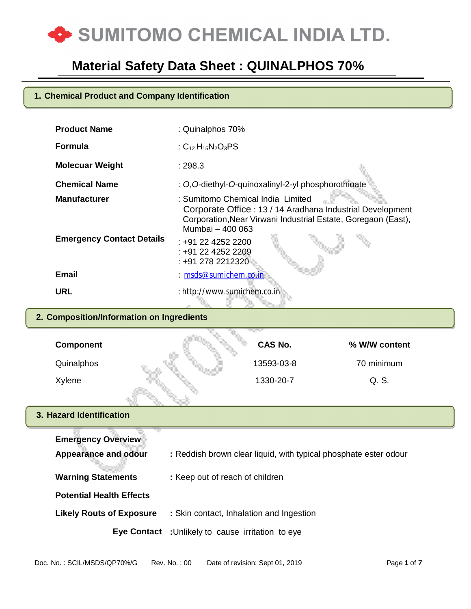

#### **1. Chemical Product and Company Identification**

| <b>Product Name</b>              | : Quinalphos 70%                                                                                                                                                                    |
|----------------------------------|-------------------------------------------------------------------------------------------------------------------------------------------------------------------------------------|
| <b>Formula</b>                   | : $C_{12}H_{15}N_2O_3PS$                                                                                                                                                            |
| <b>Molecuar Weight</b>           | :298.3                                                                                                                                                                              |
| <b>Chemical Name</b>             | : O, O-diethyl-O-quinoxalinyl-2-yl phosphorothioate                                                                                                                                 |
| <b>Manufacturer</b>              | : Sumitomo Chemical India Limited<br>Corporate Office: 13 / 14 Aradhana Industrial Development<br>Corporation, Near Virwani Industrial Estate, Goregaon (East),<br>Mumbai - 400 063 |
| <b>Emergency Contact Details</b> | : +91 22 4252 2200<br>: +91 22 4252 2209<br>: +91 278 2212320                                                                                                                       |
| <b>Email</b>                     | : msds@sumichem.co.in                                                                                                                                                               |
| <b>URL</b>                       | : http://www.sumichem.co.in                                                                                                                                                         |
|                                  |                                                                                                                                                                                     |

### **2. Composition/Information on Ingredients**

| <b>Component</b> | <b>CAS No.</b> | % W/W content |  |
|------------------|----------------|---------------|--|
| Quinalphos       | 13593-03-8     | 70 minimum    |  |
| Xylene           | 1330-20-7      | Q. S.         |  |

#### **3. Hazard Identification**

| <b>Emergency Overview</b>       |                                                                  |
|---------------------------------|------------------------------------------------------------------|
| Appearance and odour            | : Reddish brown clear liquid, with typical phosphate ester odour |
| <b>Warning Statements</b>       | : Keep out of reach of children                                  |
| <b>Potential Health Effects</b> |                                                                  |
| <b>Likely Routs of Exposure</b> | : Skin contact, Inhalation and Ingestion                         |
|                                 | <b>Eye Contact</b> : Unlikely to cause irritation to eye         |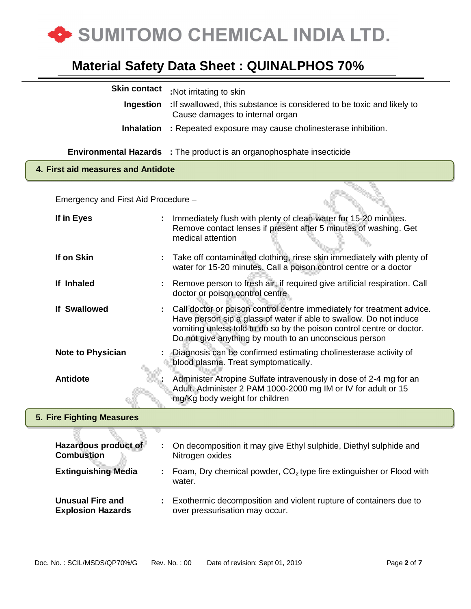

| <b>Skin contact</b> | :Not irritating to skin                                                                                 |
|---------------------|---------------------------------------------------------------------------------------------------------|
| Ingestion           | If swallowed, this substance is considered to be toxic and likely to<br>Cause damages to internal organ |
| <b>Inhalation</b>   | : Repeated exposure may cause cholinesterase inhibition.                                                |
|                     | <b>Environmental Hazards</b> : The product is an organophosphate insecticide                            |

#### **4. First aid measures and Antidote**

Emergency and First Aid Procedure –

| If in Eyes                                          |   | Immediately flush with plenty of clean water for 15-20 minutes.<br>Remove contact lenses if present after 5 minutes of washing. Get<br>medical attention                                                                                                                        |
|-----------------------------------------------------|---|---------------------------------------------------------------------------------------------------------------------------------------------------------------------------------------------------------------------------------------------------------------------------------|
| If on Skin                                          | ÷ | Take off contaminated clothing, rinse skin immediately with plenty of<br>water for 15-20 minutes. Call a poison control centre or a doctor                                                                                                                                      |
| If Inhaled                                          |   | Remove person to fresh air, if required give artificial respiration. Call<br>doctor or poison control centre                                                                                                                                                                    |
| <b>If Swallowed</b>                                 |   | Call doctor or poison control centre immediately for treatment advice.<br>Have person sip a glass of water if able to swallow. Do not induce<br>vomiting unless told to do so by the poison control centre or doctor.<br>Do not give anything by mouth to an unconscious person |
| <b>Note to Physician</b>                            |   | Diagnosis can be confirmed estimating cholinesterase activity of<br>blood plasma. Treat symptomatically.                                                                                                                                                                        |
| <b>Antidote</b>                                     |   | Administer Atropine Sulfate intravenously in dose of 2-4 mg for an<br>Adult. Administer 2 PAM 1000-2000 mg IM or IV for adult or 15<br>mg/Kg body weight for children                                                                                                           |
| 5. Fire Fighting Measures                           |   |                                                                                                                                                                                                                                                                                 |
| Hazardous product of<br><b>Combustion</b>           |   | On decomposition it may give Ethyl sulphide, Diethyl sulphide and<br>Nitrogen oxides                                                                                                                                                                                            |
| <b>Extinguishing Media</b>                          |   | Foam, Dry chemical powder, $CO2$ type fire extinguisher or Flood with<br>water.                                                                                                                                                                                                 |
| <b>Unusual Fire and</b><br><b>Explosion Hazards</b> |   | Exothermic decomposition and violent rupture of containers due to<br>over pressurisation may occur.                                                                                                                                                                             |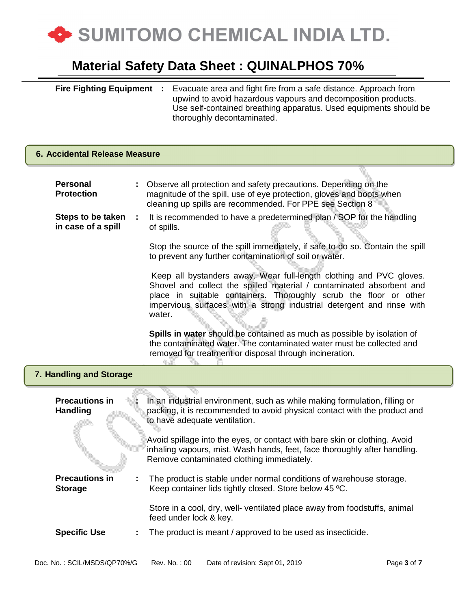

| <b>Fire Fighting Equipment</b> | Evacuate area and fight fire from a safe distance. Approach from  |
|--------------------------------|-------------------------------------------------------------------|
|                                | upwind to avoid hazardous vapours and decomposition products.     |
|                                | Use self-contained breathing apparatus. Used equipments should be |
|                                | thoroughly decontaminated.                                        |

### **6. Accidental Release Measure**

| <b>Personal</b><br><b>Protection</b>         | Observe all protection and safety precautions. Depending on the<br>magnitude of the spill, use of eye protection, gloves and boots when<br>cleaning up spills are recommended. For PPE see Section 8                                                                                                |  |
|----------------------------------------------|-----------------------------------------------------------------------------------------------------------------------------------------------------------------------------------------------------------------------------------------------------------------------------------------------------|--|
| Steps to be taken<br>÷<br>in case of a spill | It is recommended to have a predetermined plan / SOP for the handling<br>of spills.                                                                                                                                                                                                                 |  |
|                                              | Stop the source of the spill immediately, if safe to do so. Contain the spill<br>to prevent any further contamination of soil or water.                                                                                                                                                             |  |
|                                              | Keep all bystanders away. Wear full-length clothing and PVC gloves.<br>Shovel and collect the spilled material / contaminated absorbent and<br>place in suitable containers. Thoroughly scrub the floor or other<br>impervious surfaces with a strong industrial detergent and rinse with<br>water. |  |
|                                              | Spills in water should be contained as much as possible by isolation of<br>the contaminated water. The contaminated water must be collected and<br>removed for treatment or disposal through incineration.                                                                                          |  |
| 7. Handling and Storage                      |                                                                                                                                                                                                                                                                                                     |  |
| <b>Precautions in</b><br><b>Handling</b>     | In an industrial environment, such as while making formulation, filling or<br>packing, it is recommended to avoid physical contact with the product and<br>to have adequate ventilation.                                                                                                            |  |
|                                              | Avoid spillage into the eyes, or contact with bare skin or clothing. Avoid<br>inhaling vapours, mist. Wash hands, feet, face thoroughly after handling.<br>Remove contaminated clothing immediately.                                                                                                |  |
| <b>Precautions in</b><br>÷<br><b>Storage</b> | The product is stable under normal conditions of warehouse storage.<br>Keep container lids tightly closed. Store below 45 °C.                                                                                                                                                                       |  |
|                                              | Store in a cool, dry, well- ventilated place away from foodstuffs, animal<br>feed under lock & key.                                                                                                                                                                                                 |  |
| <b>Specific Use</b><br>÷                     | The product is meant / approved to be used as insecticide.                                                                                                                                                                                                                                          |  |
| Doc. No.: SCIL/MSDS/QP70%/G                  | Rev. No.: 00<br>Date of revision: Sept 01, 2019<br>Page 3 of 7                                                                                                                                                                                                                                      |  |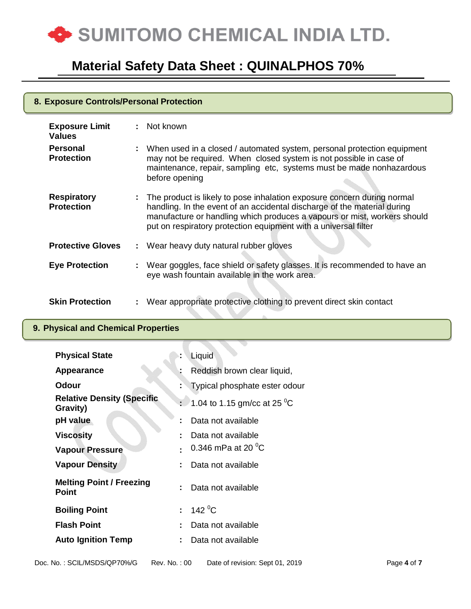

| 8. Exposure Controls/Personal Protection |  |                                                                                                                                                                                                                                                                                                      |  |
|------------------------------------------|--|------------------------------------------------------------------------------------------------------------------------------------------------------------------------------------------------------------------------------------------------------------------------------------------------------|--|
| <b>Exposure Limit</b><br><b>Values</b>   |  | : Not known                                                                                                                                                                                                                                                                                          |  |
| <b>Personal</b><br><b>Protection</b>     |  | : When used in a closed / automated system, personal protection equipment<br>may not be required. When closed system is not possible in case of<br>maintenance, repair, sampling etc, systems must be made nonhazardous<br>before opening                                                            |  |
| <b>Respiratory</b><br><b>Protection</b>  |  | : The product is likely to pose inhalation exposure concern during normal<br>handling. In the event of an accidental discharge of the material during<br>manufacture or handling which produces a vapours or mist, workers should<br>put on respiratory protection equipment with a universal filter |  |
| <b>Protective Gloves</b>                 |  | : Wear heavy duty natural rubber gloves                                                                                                                                                                                                                                                              |  |
| <b>Eye Protection</b>                    |  | Wear goggles, face shield or safety glasses. It is recommended to have an<br>eye wash fountain available in the work area.                                                                                                                                                                           |  |
| <b>Skin Protection</b>                   |  | Wear appropriate protective clothing to prevent direct skin contact                                                                                                                                                                                                                                  |  |

### **9. Physical and Chemical Properties**

| <b>Physical State</b>                           | Liquid                                    |
|-------------------------------------------------|-------------------------------------------|
| Appearance                                      | Reddish brown clear liquid,               |
| Odour                                           | Typical phosphate ester odour             |
| <b>Relative Density (Specific</b><br>Gravity)   | : 1.04 to 1.15 gm/cc at 25 <sup>o</sup> C |
| pH value                                        | Data not available                        |
| <b>Viscosity</b>                                | Data not available                        |
| <b>Vapour Pressure</b>                          | 0.346 mPa at 20 $\mathrm{^0C}$            |
| <b>Vapour Density</b>                           | Data not available                        |
| <b>Melting Point / Freezing</b><br><b>Point</b> | Data not available                        |
| <b>Boiling Point</b>                            | 142 $^{\circ}$ C                          |
| <b>Flash Point</b>                              | Data not available                        |
| <b>Auto Ignition Temp</b>                       | Data not available                        |
|                                                 |                                           |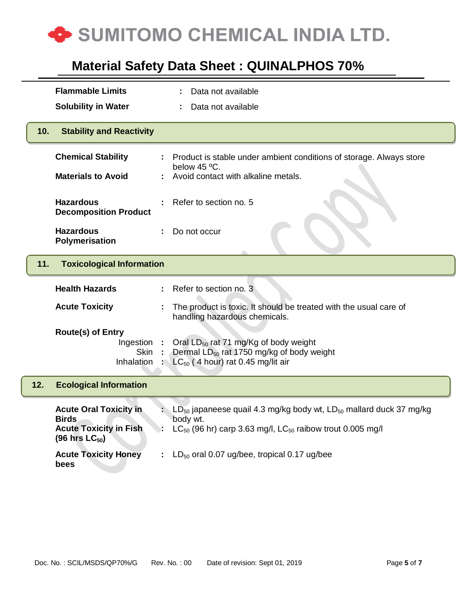

|     | <b>Flammable Limits</b>                                             | Data not available                                                                                                                                   |
|-----|---------------------------------------------------------------------|------------------------------------------------------------------------------------------------------------------------------------------------------|
|     | <b>Solubility in Water</b>                                          | Data not available                                                                                                                                   |
| 10. | <b>Stability and Reactivity</b>                                     |                                                                                                                                                      |
|     | <b>Chemical Stability</b>                                           | Product is stable under ambient conditions of storage. Always store<br>below 45 °C.                                                                  |
|     | <b>Materials to Avoid</b>                                           | Avoid contact with alkaline metals.                                                                                                                  |
|     | <b>Hazardous</b><br><b>Decomposition Product</b>                    | Refer to section no. 5                                                                                                                               |
|     | <b>Hazardous</b><br>Polymerisation                                  | Do not occur                                                                                                                                         |
| 11. | <b>Toxicological Information</b>                                    |                                                                                                                                                      |
|     | <b>Health Hazards</b>                                               | Refer to section no. 3                                                                                                                               |
|     |                                                                     |                                                                                                                                                      |
|     | <b>Acute Toxicity</b>                                               | The product is toxic. It should be treated with the usual care of<br>handling hazardous chemicals.                                                   |
|     | <b>Route(s) of Entry</b><br>Ingestion<br>Skin<br>Inhalation         | Oral LD <sub>50</sub> rat 71 mg/Kg of body weight<br>Dermal LD <sub>50</sub> rat 1750 mg/kg of body weight<br>$LC_{50}$ (4 hour) rat 0.45 mg/lit air |
| 12. | <b>Ecological Information</b>                                       |                                                                                                                                                      |
|     | <b>Acute Oral Toxicity in</b><br><b>Birds</b>                       | $LD_{50}$ japaneese quail 4.3 mg/kg body wt, $LD_{50}$ mallard duck 37 mg/kg<br>body wt.                                                             |
|     | <b>Acute Toxicity in Fish</b><br>$(96 \text{ hrs} \text{ LC}_{50})$ | $LC_{50}$ (96 hr) carp 3.63 mg/l, $LC_{50}$ raibow trout 0.005 mg/l                                                                                  |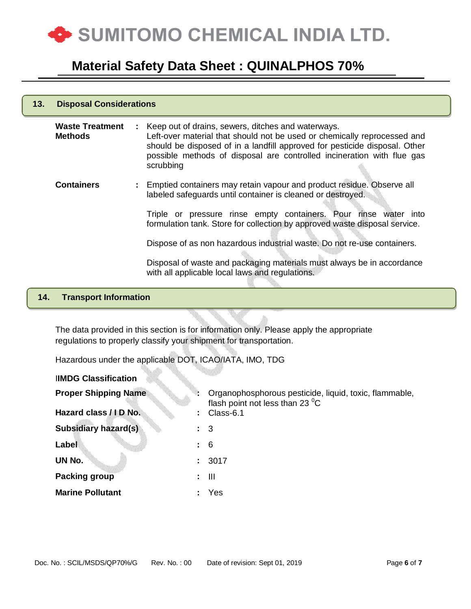

| 13. | <b>Disposal Considerations</b>           |                                                                                                                                                                                                                                                                                                       |  |
|-----|------------------------------------------|-------------------------------------------------------------------------------------------------------------------------------------------------------------------------------------------------------------------------------------------------------------------------------------------------------|--|
|     | <b>Waste Treatment</b><br><b>Methods</b> | : Keep out of drains, sewers, ditches and waterways.<br>Left-over material that should not be used or chemically reprocessed and<br>should be disposed of in a landfill approved for pesticide disposal. Other<br>possible methods of disposal are controlled incineration with flue gas<br>scrubbing |  |
|     | <b>Containers</b>                        | : Emptied containers may retain vapour and product residue. Observe all<br>labeled safeguards until container is cleaned or destroyed.                                                                                                                                                                |  |
|     |                                          | Triple or pressure rinse empty containers. Pour rinse water into<br>formulation tank. Store for collection by approved waste disposal service.                                                                                                                                                        |  |
|     |                                          | Dispose of as non hazardous industrial waste. Do not re-use containers.                                                                                                                                                                                                                               |  |
|     |                                          | Disposal of waste and packaging materials must always be in accordance<br>with all applicable local laws and regulations.                                                                                                                                                                             |  |
|     | and the first process of the             |                                                                                                                                                                                                                                                                                                       |  |

#### **14. Transport Information**

I**IMDG Classification**

The data provided in this section is for information only. Please apply the appropriate regulations to properly classify your shipment for transportation.

Hazardous under the applicable DOT, ICAO/IATA, IMO, TDG

**Proper Shipping Name <b>:** Organophosphorous pesticide, liquid, toxic, flammable, flash point not less than 23 $\mathrm{^0C}$ **Hazard class / I D No. :** Class-6.1 **Subsidiary hazard(s) :** 3 **Label :** 6 **UN No. :** 3017 **Packing group by Eq. (2) iii Marine Pollutant :** Yes